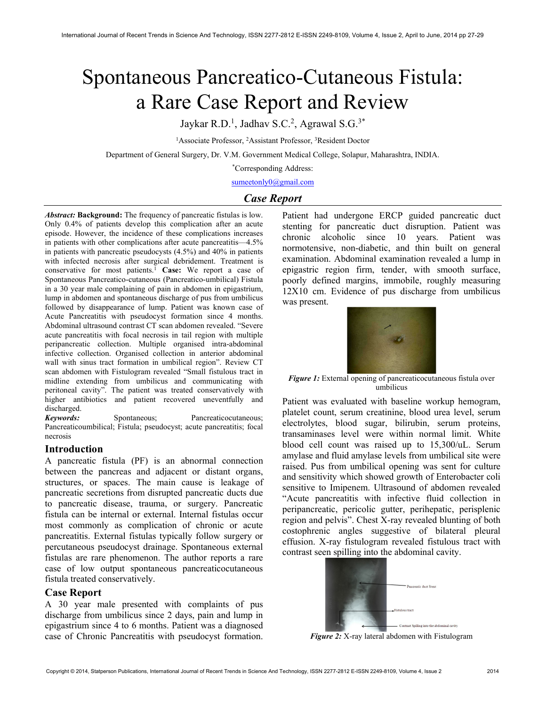# Spontaneous Pancreatico-Cutaneous Fistula: a Rare Case Report and Review

Jaykar R.D.<sup>1</sup>, Jadhav S.C.<sup>2</sup>, Agrawal S.G.<sup>3\*</sup>

<sup>1</sup>Associate Professor, <sup>2</sup>Assistant Professor, <sup>3</sup>Resident Doctor

Department of General Surgery, Dr. V.M. Government Medical College, Solapur, Maharashtra, INDIA.

\*Corresponding Address:

sumeetonly0@gmail.com

# Case Report

Abstract: Background: The frequency of pancreatic fistulas is low. Only 0.4% of patients develop this complication after an acute episode. However, the incidence of these complications increases in patients with other complications after acute pancreatitis—4.5% in patients with pancreatic pseudocysts (4.5%) and 40% in patients with infected necrosis after surgical debridement. Treatment is conservative for most patients.<sup>1</sup> Case: We report a case of Spontaneous Pancreatico-cutaneous (Pancreatico-umbilical) Fistula in a 30 year male complaining of pain in abdomen in epigastrium, lump in abdomen and spontaneous discharge of pus from umbilicus followed by disappearance of lump. Patient was known case of Acute Pancreatitis with pseudocyst formation since 4 months. Abdominal ultrasound contrast CT scan abdomen revealed. "Severe acute pancreatitis with focal necrosis in tail region with multiple peripancreatic collection. Multiple organised intra-abdominal infective collection. Organised collection in anterior abdominal wall with sinus tract formation in umbilical region". Review CT scan abdomen with Fistulogram revealed "Small fistulous tract in midline extending from umbilicus and communicating with peritoneal cavity". The patient was treated conservatively with higher antibiotics and patient recovered uneventfully and discharged.

Keywords: Spontaneous; Pancreaticocutaneous; Pancreaticoumbilical; Fistula; pseudocyst; acute pancreatitis; focal necrosis

#### Introduction

A pancreatic fistula (PF) is an abnormal connection between the pancreas and adjacent or distant organs, structures, or spaces. The main cause is leakage of pancreatic secretions from disrupted pancreatic ducts due to pancreatic disease, trauma, or surgery. Pancreatic fistula can be internal or external. Internal fistulas occur most commonly as complication of chronic or acute pancreatitis. External fistulas typically follow surgery or percutaneous pseudocyst drainage. Spontaneous external fistulas are rare phenomenon. The author reports a rare case of low output spontaneous pancreaticocutaneous fistula treated conservatively.

#### Case Report

A 30 year male presented with complaints of pus discharge from umbilicus since 2 days, pain and lump in epigastrium since 4 to 6 months. Patient was a diagnosed case of Chronic Pancreatitis with pseudocyst formation.

Patient had undergone ERCP guided pancreatic duct stenting for pancreatic duct disruption. Patient was chronic alcoholic since 10 years. Patient was normotensive, non-diabetic, and thin built on general examination. Abdominal examination revealed a lump in epigastric region firm, tender, with smooth surface, poorly defined margins, immobile, roughly measuring 12X10 cm. Evidence of pus discharge from umbilicus was present.



Figure 1: External opening of pancreaticocutaneous fistula over umbilicus

Patient was evaluated with baseline workup hemogram, platelet count, serum creatinine, blood urea level, serum electrolytes, blood sugar, bilirubin, serum proteins, transaminases level were within normal limit. White blood cell count was raised up to 15,300/uL. Serum amylase and fluid amylase levels from umbilical site were raised. Pus from umbilical opening was sent for culture and sensitivity which showed growth of Enterobacter coli sensitive to Imipenem. Ultrasound of abdomen revealed "Acute pancreatitis with infective fluid collection in peripancreatic, pericolic gutter, perihepatic, perisplenic region and pelvis". Chest X-ray revealed blunting of both costophrenic angles suggestive of bilateral pleural effusion. X-ray fistulogram revealed fistulous tract with contrast seen spilling into the abdominal cavity.



Figure 2: X-ray lateral abdomen with Fistulogram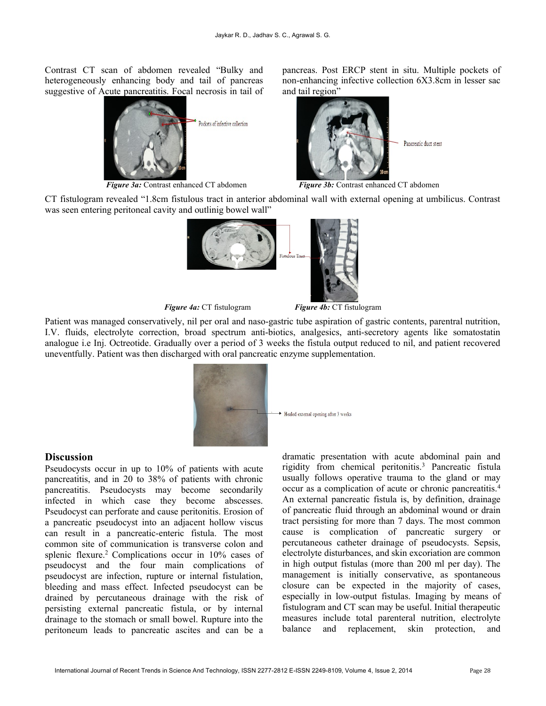Contrast CT scan of abdomen revealed "Bulky and heterogeneously enhancing body and tail of pancreas suggestive of Acute pancreatitis. Focal necrosis in tail of



Figure 3a: Contrast enhanced CT abdomen Figure 3b: Contrast enhanced CT abdomen

pancreas. Post ERCP stent in situ. Multiple pockets of non-enhancing infective collection 6X3.8cm in lesser sac and tail region"



CT fistulogram revealed "1.8cm fistulous tract in anterior abdominal wall with external opening at umbilicus. Contrast was seen entering peritoneal cavity and outlinig bowel wall"



Figure 4a: CT fistulogram Figure 4b: CT fistulogram

Patient was managed conservatively, nil per oral and naso-gastric tube aspiration of gastric contents, parentral nutrition, I.V. fluids, electrolyte correction, broad spectrum anti-biotics, analgesics, anti-secretory agents like somatostatin analogue i.e Inj. Octreotide. Gradually over a period of 3 weeks the fistula output reduced to nil, and patient recovered uneventfully. Patient was then discharged with oral pancreatic enzyme supplementation.



## **Discussion**

Pseudocysts occur in up to 10% of patients with acute pancreatitis, and in 20 to 38% of patients with chronic pancreatitis. Pseudocysts may become secondarily infected in which case they become abscesses. Pseudocyst can perforate and cause peritonitis. Erosion of a pancreatic pseudocyst into an adjacent hollow viscus can result in a pancreatic-enteric fistula. The most common site of communication is transverse colon and splenic flexure.<sup>2</sup> Complications occur in 10% cases of pseudocyst and the four main complications of pseudocyst are infection, rupture or internal fistulation, bleeding and mass effect. Infected pseudocyst can be drained by percutaneous drainage with the risk of persisting external pancreatic fistula, or by internal drainage to the stomach or small bowel. Rupture into the peritoneum leads to pancreatic ascites and can be a dramatic presentation with acute abdominal pain and rigidity from chemical peritonitis.<sup>3</sup> Pancreatic fistula usually follows operative trauma to the gland or may occur as a complication of acute or chronic pancreatitis.<sup>4</sup> An external pancreatic fistula is, by definition, drainage of pancreatic fluid through an abdominal wound or drain tract persisting for more than 7 days. The most common cause is complication of pancreatic surgery or percutaneous catheter drainage of pseudocysts. Sepsis, electrolyte disturbances, and skin excoriation are common in high output fistulas (more than 200 ml per day). The management is initially conservative, as spontaneous closure can be expected in the majority of cases, especially in low-output fistulas. Imaging by means of fistulogram and CT scan may be useful. Initial therapeutic measures include total parenteral nutrition, electrolyte balance and replacement, skin protection, and